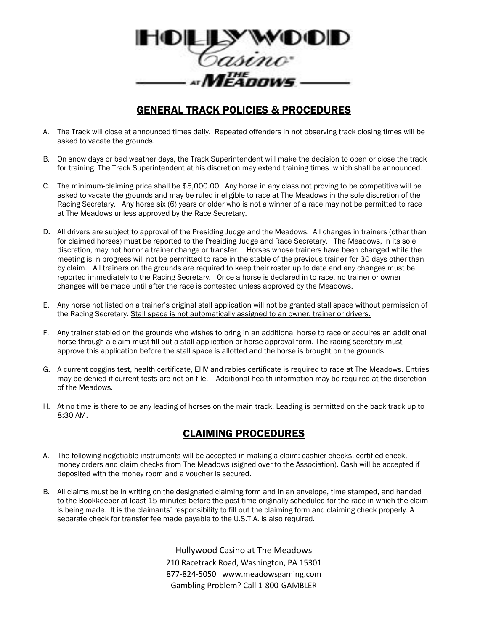

# GENERAL TRACK POLICIES & PROCEDURES

- A. The Track will close at announced times daily. Repeated offenders in not observing track closing times will be asked to vacate the grounds.
- B. On snow days or bad weather days, the Track Superintendent will make the decision to open or close the track for training. The Track Superintendent at his discretion may extend training times which shall be announced.
- C. The minimum-claiming price shall be \$5,000.00. Any horse in any class not proving to be competitive will be asked to vacate the grounds and may be ruled ineligible to race at The Meadows in the sole discretion of the Racing Secretary. Any horse six (6) years or older who is not a winner of a race may not be permitted to race at The Meadows unless approved by the Race Secretary.
- D. All drivers are subject to approval of the Presiding Judge and the Meadows. All changes in trainers (other than for claimed horses) must be reported to the Presiding Judge and Race Secretary. The Meadows, in its sole discretion, may not honor a trainer change or transfer. Horses whose trainers have been changed while the meeting is in progress will not be permitted to race in the stable of the previous trainer for 30 days other than by claim. All trainers on the grounds are required to keep their roster up to date and any changes must be reported immediately to the Racing Secretary. Once a horse is declared in to race, no trainer or owner changes will be made until after the race is contested unless approved by the Meadows.
- E. Any horse not listed on a trainer's original stall application will not be granted stall space without permission of the Racing Secretary. Stall space is not automatically assigned to an owner, trainer or drivers.
- F. Any trainer stabled on the grounds who wishes to bring in an additional horse to race or acquires an additional horse through a claim must fill out a stall application or horse approval form. The racing secretary must approve this application before the stall space is allotted and the horse is brought on the grounds.
- G. A current coggins test, health certificate, EHV and rabies certificate is required to race at The Meadows. Entries may be denied if current tests are not on file. Additional health information may be required at the discretion of the Meadows.
- H. At no time is there to be any leading of horses on the main track. Leading is permitted on the back track up to 8:30 AM.

# CLAIMING PROCEDURES

- A. The following negotiable instruments will be accepted in making a claim: cashier checks, certified check, money orders and claim checks from The Meadows (signed over to the Association). Cash will be accepted if deposited with the money room and a voucher is secured.
- B. All claims must be in writing on the designated claiming form and in an envelope, time stamped, and handed to the Bookkeeper at least 15 minutes before the post time originally scheduled for the race in which the claim is being made. It is the claimants' responsibility to fill out the claiming form and claiming check properly. A separate check for transfer fee made payable to the U.S.T.A. is also required.

Hollywood Casino at The Meadows 210 Racetrack Road, Washington, PA 15301 877-824-5050 www.meadowsgaming.com Gambling Problem? Call 1-800-GAMBLER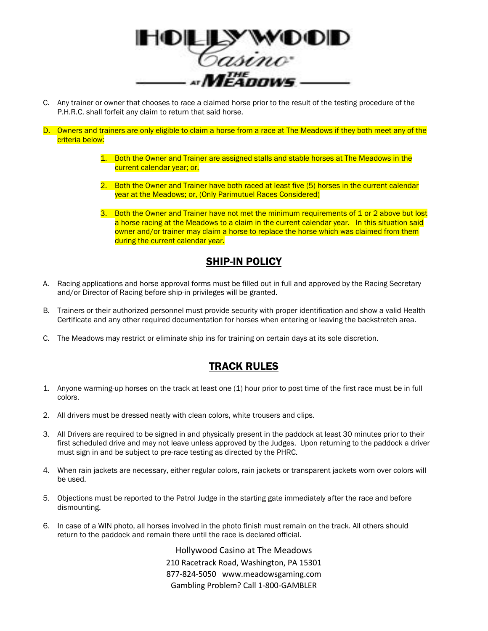

- C. Any trainer or owner that chooses to race a claimed horse prior to the result of the testing procedure of the P.H.R.C. shall forfeit any claim to return that said horse.
- D. Owners and trainers are only eligible to claim a horse from a race at The Meadows if they both meet any of the criteria below:
	- 1. Both the Owner and Trainer are assigned stalls and stable horses at The Meadows in the current calendar year; or,
	- 2. Both the Owner and Trainer have both raced at least five (5) horses in the current calendar year at the Meadows; or, (Only Parimutuel Races Considered)
	- 3. Both the Owner and Trainer have not met the minimum requirements of 1 or 2 above but lost a horse racing at the Meadows to a claim in the current calendar year. In this situation said owner and/or trainer may claim a horse to replace the horse which was claimed from them during the current calendar year.

### SHIP-IN POLICY

- A. Racing applications and horse approval forms must be filled out in full and approved by the Racing Secretary and/or Director of Racing before ship-in privileges will be granted.
- B. Trainers or their authorized personnel must provide security with proper identification and show a valid Health Certificate and any other required documentation for horses when entering or leaving the backstretch area.
- C. The Meadows may restrict or eliminate ship ins for training on certain days at its sole discretion.

### TRACK RULES

- 1. Anyone warming-up horses on the track at least one (1) hour prior to post time of the first race must be in full colors.
- 2. All drivers must be dressed neatly with clean colors, white trousers and clips.
- 3. All Drivers are required to be signed in and physically present in the paddock at least 30 minutes prior to their first scheduled drive and may not leave unless approved by the Judges. Upon returning to the paddock a driver must sign in and be subject to pre-race testing as directed by the PHRC.
- 4. When rain jackets are necessary, either regular colors, rain jackets or transparent jackets worn over colors will be used.
- 5. Objections must be reported to the Patrol Judge in the starting gate immediately after the race and before dismounting.
- 6. In case of a WIN photo, all horses involved in the photo finish must remain on the track. All others should return to the paddock and remain there until the race is declared official.

Hollywood Casino at The Meadows 210 Racetrack Road, Washington, PA 15301 877-824-5050 www.meadowsgaming.com Gambling Problem? Call 1-800-GAMBLER